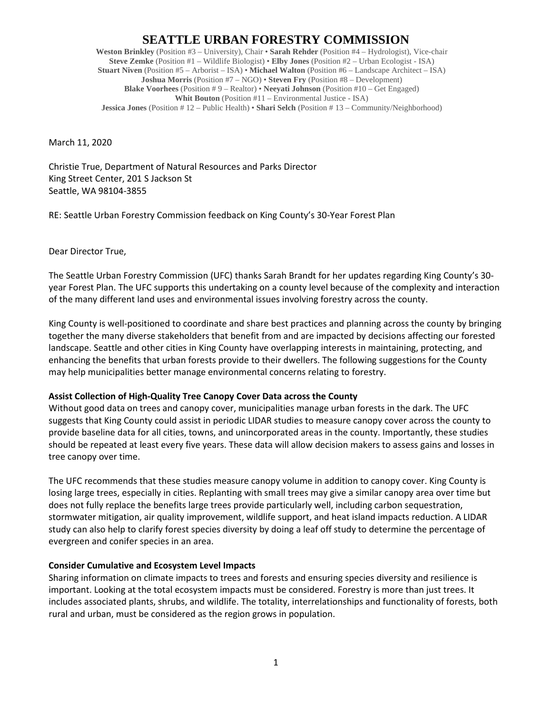# **SEATTLE URBAN FORESTRY COMMISSION**

**Weston Brinkley** (Position #3 – University), Chair • **Sarah Rehder** (Position #4 – Hydrologist), Vice-chair **Steve Zemke** (Position #1 – Wildlife Biologist) • **Elby Jones** (Position #2 – Urban Ecologist - ISA) **Stuart Niven** (Position #5 – Arborist – ISA) • **Michael Walton** (Position #6 – Landscape Architect – ISA) **Joshua Morris** (Position #7 – NGO) • **Steven Fry** (Position #8 – Development) **Blake Voorhees** (Position # 9 – Realtor) • **Neeyati Johnson** (Position #10 – Get Engaged) **Whit Bouton** (Position #11 – Environmental Justice - ISA) **Jessica Jones** (Position # 12 – Public Health) • **Shari Selch** (Position # 13 – Community/Neighborhood)

March 11, 2020

Christie True, Department of Natural Resources and Parks Director King Street Center, 201 S Jackson St Seattle, WA 98104-3855

RE: Seattle Urban Forestry Commission feedback on King County's 30-Year Forest Plan

Dear Director True,

The Seattle Urban Forestry Commission (UFC) thanks Sarah Brandt for her updates regarding King County's 30 year Forest Plan. The UFC supports this undertaking on a county level because of the complexity and interaction of the many different land uses and environmental issues involving forestry across the county.

King County is well-positioned to coordinate and share best practices and planning across the county by bringing together the many diverse stakeholders that benefit from and are impacted by decisions affecting our forested landscape. Seattle and other cities in King County have overlapping interests in maintaining, protecting, and enhancing the benefits that urban forests provide to their dwellers. The following suggestions for the County may help municipalities better manage environmental concerns relating to forestry.

## **Assist Collection of High-Quality Tree Canopy Cover Data across the County**

Without good data on trees and canopy cover, municipalities manage urban forests in the dark. The UFC suggests that King County could assist in periodic LIDAR studies to measure canopy cover across the county to provide baseline data for all cities, towns, and unincorporated areas in the county. Importantly, these studies should be repeated at least every five years. These data will allow decision makers to assess gains and losses in tree canopy over time.

The UFC recommends that these studies measure canopy volume in addition to canopy cover. King County is losing large trees, especially in cities. Replanting with small trees may give a similar canopy area over time but does not fully replace the benefits large trees provide particularly well, including carbon sequestration, stormwater mitigation, air quality improvement, wildlife support, and heat island impacts reduction. A LIDAR study can also help to clarify forest species diversity by doing a leaf off study to determine the percentage of evergreen and conifer species in an area.

## **Consider Cumulative and Ecosystem Level Impacts**

Sharing information on climate impacts to trees and forests and ensuring species diversity and resilience is important. Looking at the total ecosystem impacts must be considered. Forestry is more than just trees. It includes associated plants, shrubs, and wildlife. The totality, interrelationships and functionality of forests, both rural and urban, must be considered as the region grows in population.